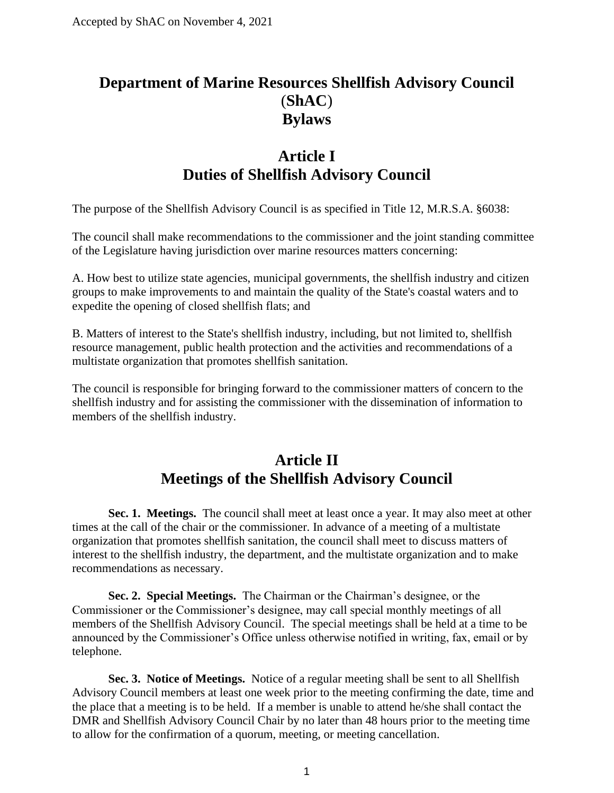# **Department of Marine Resources Shellfish Advisory Council** (**ShAC**) **Bylaws**

# **Article I Duties of Shellfish Advisory Council**

The purpose of the Shellfish Advisory Council is as specified in Title 12, M.R.S.A. §6038:

The council shall make recommendations to the commissioner and the joint standing committee of the Legislature having jurisdiction over marine resources matters concerning:

A. How best to utilize state agencies, municipal governments, the shellfish industry and citizen groups to make improvements to and maintain the quality of the State's coastal waters and to expedite the opening of closed shellfish flats; and

B. Matters of interest to the State's shellfish industry, including, but not limited to, shellfish resource management, public health protection and the activities and recommendations of a multistate organization that promotes shellfish sanitation.

The council is responsible for bringing forward to the commissioner matters of concern to the shellfish industry and for assisting the commissioner with the dissemination of information to members of the shellfish industry.

### **Article II Meetings of the Shellfish Advisory Council**

**Sec. 1. Meetings.** The council shall meet at least once a year. It may also meet at other times at the call of the chair or the commissioner. In advance of a meeting of a multistate organization that promotes shellfish sanitation, the council shall meet to discuss matters of interest to the shellfish industry, the department, and the multistate organization and to make recommendations as necessary.

**Sec. 2. Special Meetings.** The Chairman or the Chairman's designee, or the Commissioner or the Commissioner's designee, may call special monthly meetings of all members of the Shellfish Advisory Council. The special meetings shall be held at a time to be announced by the Commissioner's Office unless otherwise notified in writing, fax, email or by telephone.

**Sec. 3. Notice of Meetings.** Notice of a regular meeting shall be sent to all Shellfish Advisory Council members at least one week prior to the meeting confirming the date, time and the place that a meeting is to be held. If a member is unable to attend he/she shall contact the DMR and Shellfish Advisory Council Chair by no later than 48 hours prior to the meeting time to allow for the confirmation of a quorum, meeting, or meeting cancellation.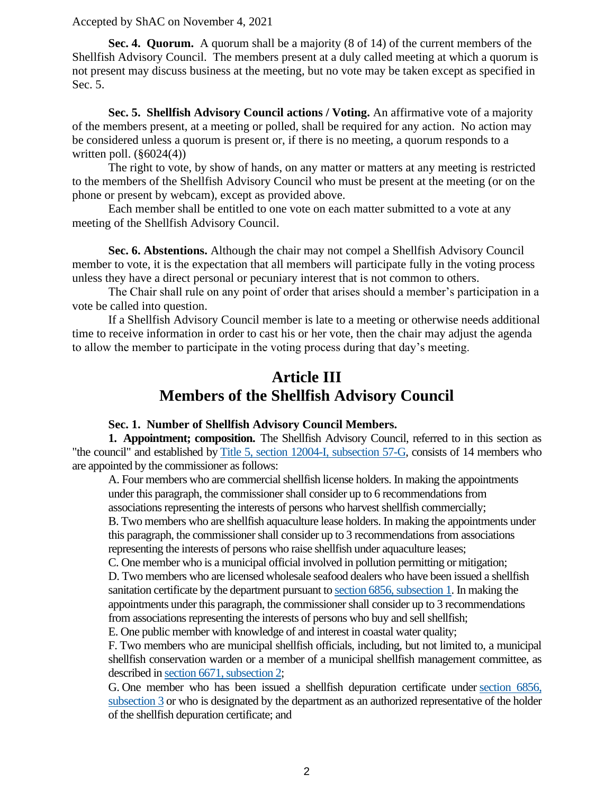**Sec. 4. Quorum.** A quorum shall be a majority (8 of 14) of the current members of the Shellfish Advisory Council. The members present at a duly called meeting at which a quorum is not present may discuss business at the meeting, but no vote may be taken except as specified in Sec. 5.

**Sec. 5. Shellfish Advisory Council actions / Voting.** An affirmative vote of a majority of the members present, at a meeting or polled, shall be required for any action. No action may be considered unless a quorum is present or, if there is no meeting, a quorum responds to a written poll.  $(\S6024(4))$ 

The right to vote, by show of hands, on any matter or matters at any meeting is restricted to the members of the Shellfish Advisory Council who must be present at the meeting (or on the phone or present by webcam), except as provided above.

Each member shall be entitled to one vote on each matter submitted to a vote at any meeting of the Shellfish Advisory Council.

**Sec. 6. Abstentions.** Although the chair may not compel a Shellfish Advisory Council member to vote, it is the expectation that all members will participate fully in the voting process unless they have a direct personal or pecuniary interest that is not common to others.

The Chair shall rule on any point of order that arises should a member's participation in a vote be called into question.

If a Shellfish Advisory Council member is late to a meeting or otherwise needs additional time to receive information in order to cast his or her vote, then the chair may adjust the agenda to allow the member to participate in the voting process during that day's meeting.

# **Article III Members of the Shellfish Advisory Council**

### **Sec. 1. Number of Shellfish Advisory Council Members.**

**1. Appointment; composition.** The Shellfish Advisory Council, referred to in this section as "the council" and established by [Title 5, section 12004-I, subsection 57-G,](http://legislature.maine.gov/statutes/5/title5sec12004-I.html) consists of 14 members who are appointed by the commissioner as follows:

A. Four members who are commercial shellfish license holders. In making the appointments under this paragraph, the commissioner shall consider up to 6 recommendations from associations representing the interests of persons who harvest shellfish commercially; B. Two members who are shellfish aquaculture lease holders. In making the appointments under this paragraph, the commissioner shall consider up to 3 recommendations from associations representing the interests of persons who raise shellfish under aquaculture leases;

C. One member who is a municipal official involved in pollution permitting or mitigation; D. Two members who are licensed wholesale seafood dealers who have been issued a shellfish sanitation certificate by the department pursuant to [section 6856, subsection 1.](http://legislature.maine.gov/statutes/12/title12sec6856.html) In making the appointments under this paragraph, the commissioner shall consider up to 3 recommendations from associations representing the interests of persons who buy and sell shellfish;

E. One public member with knowledge of and interest in coastal water quality;

F. Two members who are municipal shellfish officials, including, but not limited to, a municipal shellfish conservation warden or a member of a municipal shellfish management committee, as described in [section 6671, subsection 2;](http://legislature.maine.gov/statutes/12/title12sec6671.html)

G. One member who has been issued a shellfish depuration certificate under [section 6856,](http://legislature.maine.gov/statutes/12/title12sec6856.html)  [subsection 3](http://legislature.maine.gov/statutes/12/title12sec6856.html) or who is designated by the department as an authorized representative of the holder of the shellfish depuration certificate; and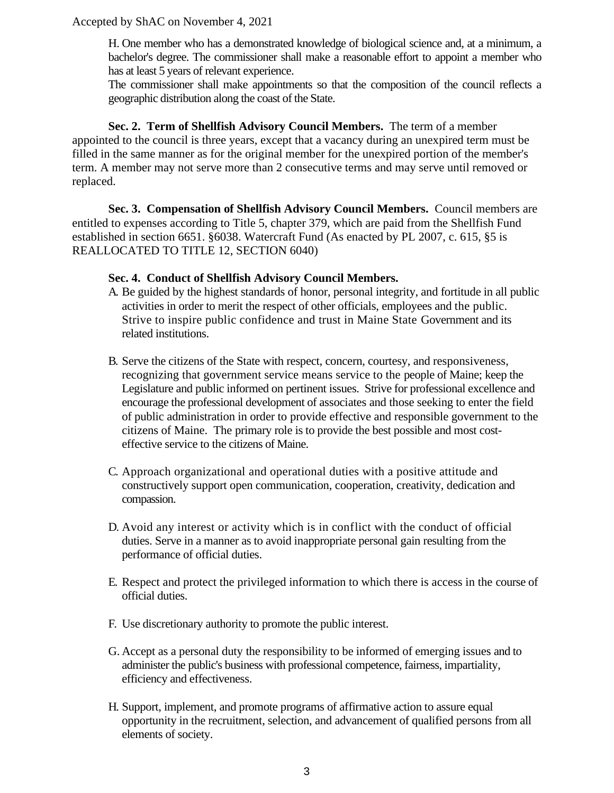H. One member who has a demonstrated knowledge of biological science and, at a minimum, a bachelor's degree. The commissioner shall make a reasonable effort to appoint a member who has at least 5 years of relevant experience.

The commissioner shall make appointments so that the composition of the council reflects a geographic distribution along the coast of the State.

**Sec. 2. Term of Shellfish Advisory Council Members.** The term of a member appointed to the council is three years, except that a vacancy during an unexpired term must be filled in the same manner as for the original member for the unexpired portion of the member's term. A member may not serve more than 2 consecutive terms and may serve until removed or replaced.

**Sec. 3. Compensation of Shellfish Advisory Council Members.** Council members are entitled to expenses according to Title 5, chapter 379, which are paid from the Shellfish Fund established in section 6651. §6038. Watercraft Fund (As enacted by PL 2007, c. 615, §5 is REALLOCATED TO TITLE 12, SECTION 6040)

#### **Sec. 4. Conduct of Shellfish Advisory Council Members.**

- A. Be guided by the highest standards of honor, personal integrity, and fortitude in all public activities in order to merit the respect of other officials, employees and the public. Strive to inspire public confidence and trust in Maine State Government and its related institutions.
- B. Serve the citizens of the State with respect, concern, courtesy, and responsiveness, recognizing that government service means service to the people of Maine; keep the Legislature and public informed on pertinent issues. Strive for professional excellence and encourage the professional development of associates and those seeking to enter the field of public administration in order to provide effective and responsible government to the citizens of Maine. The primary role is to provide the best possible and most costeffective service to the citizens of Maine.
- C. Approach organizational and operational duties with a positive attitude and constructively support open communication, cooperation, creativity, dedication and compassion.
- D. Avoid any interest or activity which is in conflict with the conduct of official duties. Serve in a manner as to avoid inappropriate personal gain resulting from the performance of official duties.
- E. Respect and protect the privileged information to which there is access in the course of official duties.
- F. Use discretionary authority to promote the public interest.
- G. Accept as a personal duty the responsibility to be informed of emerging issues and to administer the public's business with professional competence, fairness, impartiality, efficiency and effectiveness.
- H. Support, implement, and promote programs of affirmative action to assure equal opportunity in the recruitment, selection, and advancement of qualified persons from all elements of society.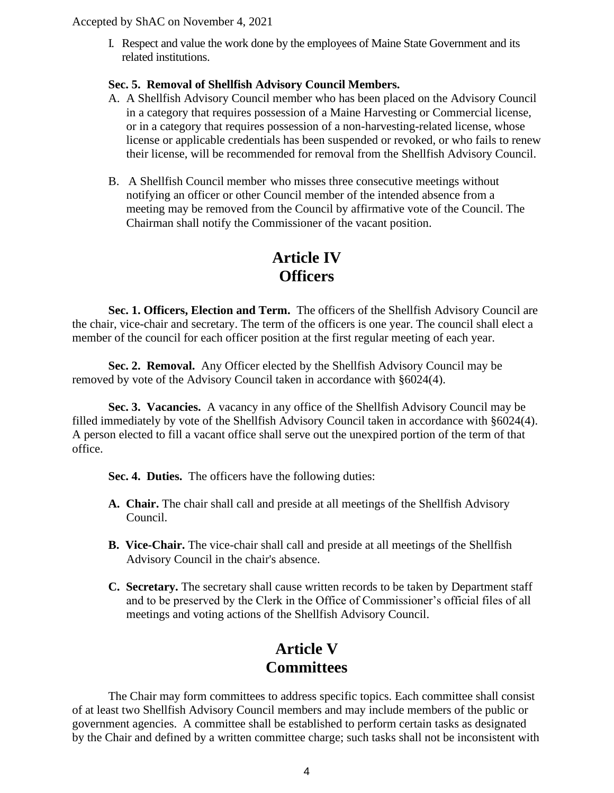I. Respect and value the work done by the employees of Maine State Government and its related institutions.

### **Sec. 5. Removal of Shellfish Advisory Council Members.**

- A. A Shellfish Advisory Council member who has been placed on the Advisory Council in a category that requires possession of a Maine Harvesting or Commercial license, or in a category that requires possession of a non-harvesting-related license, whose license or applicable credentials has been suspended or revoked, or who fails to renew their license, will be recommended for removal from the Shellfish Advisory Council.
- B. A Shellfish Council member who misses three consecutive meetings without notifying an officer or other Council member of the intended absence from a meeting may be removed from the Council by affirmative vote of the Council. The Chairman shall notify the Commissioner of the vacant position.

## **Article IV Officers**

**Sec. 1. Officers, Election and Term.** The officers of the Shellfish Advisory Council are the chair, vice-chair and secretary. The term of the officers is one year. The council shall elect a member of the council for each officer position at the first regular meeting of each year.

**Sec. 2. Removal.** Any Officer elected by the Shellfish Advisory Council may be removed by vote of the Advisory Council taken in accordance with §6024(4).

**Sec. 3. Vacancies.** A vacancy in any office of the Shellfish Advisory Council may be filled immediately by vote of the Shellfish Advisory Council taken in accordance with §6024(4). A person elected to fill a vacant office shall serve out the unexpired portion of the term of that office.

**Sec. 4. Duties.** The officers have the following duties:

- **A. Chair.** The chair shall call and preside at all meetings of the Shellfish Advisory Council.
- **B. Vice-Chair.** The vice-chair shall call and preside at all meetings of the Shellfish Advisory Council in the chair's absence.
- **C. Secretary.** The secretary shall cause written records to be taken by Department staff and to be preserved by the Clerk in the Office of Commissioner's official files of all meetings and voting actions of the Shellfish Advisory Council.

# **Article V Committees**

The Chair may form committees to address specific topics. Each committee shall consist of at least two Shellfish Advisory Council members and may include members of the public or government agencies. A committee shall be established to perform certain tasks as designated by the Chair and defined by a written committee charge; such tasks shall not be inconsistent with